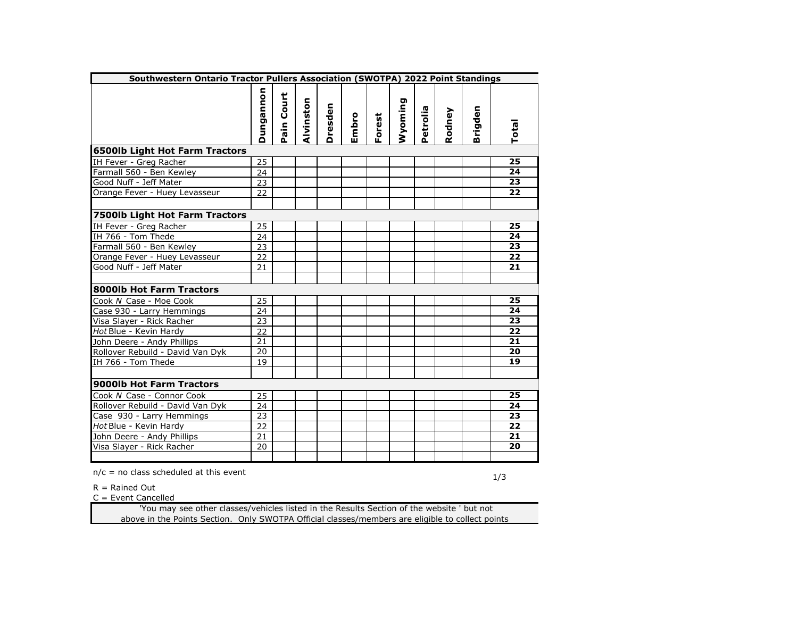| Southwestern Ontario Tractor Pullers Association (SWOTPA) 2022 Point Standings |           |                 |           |         |       |        |         |          |        |              |                 |
|--------------------------------------------------------------------------------|-----------|-----------------|-----------|---------|-------|--------|---------|----------|--------|--------------|-----------------|
|                                                                                | Dungannon | ain Court<br>Δ. | Alvinston | Dresden | Embro | Forest | Wyoming | Petrolia | Rodney | irigden<br>m | Total           |
| <b>6500lb Light Hot Farm Tractors</b>                                          |           |                 |           |         |       |        |         |          |        |              |                 |
| IH Fever - Greg Racher                                                         | 25        |                 |           |         |       |        |         |          |        |              | 25              |
| Farmall 560 - Ben Kewley                                                       | 24        |                 |           |         |       |        |         |          |        |              | 24              |
| Good Nuff - Jeff Mater                                                         | 23        |                 |           |         |       |        |         |          |        |              | 23              |
| Orange Fever - Huey Levasseur                                                  | 22        |                 |           |         |       |        |         |          |        |              | 22              |
| 7500lb Light Hot Farm Tractors                                                 |           |                 |           |         |       |        |         |          |        |              |                 |
| IH Fever - Greg Racher                                                         | 25        |                 |           |         |       |        |         |          |        |              | 25              |
| IH 766 - Tom Thede                                                             | 24        |                 |           |         |       |        |         |          |        |              | 24              |
| Farmall 560 - Ben Kewley                                                       | 23        |                 |           |         |       |        |         |          |        |              | $\overline{23}$ |
| Orange Fever - Huey Levasseur                                                  | 22        |                 |           |         |       |        |         |          |        |              | 22              |
| Good Nuff - Jeff Mater                                                         | 21        |                 |           |         |       |        |         |          |        |              | 21              |
|                                                                                |           |                 |           |         |       |        |         |          |        |              |                 |
| 8000lb Hot Farm Tractors                                                       |           |                 |           |         |       |        |         |          |        |              |                 |
| Cook N Case - Moe Cook                                                         | 25        |                 |           |         |       |        |         |          |        |              | 25              |
| Case 930 - Larry Hemmings                                                      | 24        |                 |           |         |       |        |         |          |        |              | 24              |
| Visa Slayer - Rick Racher                                                      | 23        |                 |           |         |       |        |         |          |        |              | 23              |
| Hot Blue - Kevin Hardy                                                         | 22        |                 |           |         |       |        |         |          |        |              | 22              |
| John Deere - Andy Phillips                                                     | 21        |                 |           |         |       |        |         |          |        |              | 21              |
| Rollover Rebuild - David Van Dyk                                               | 20        |                 |           |         |       |        |         |          |        |              | 20              |
| IH 766 - Tom Thede                                                             | 19        |                 |           |         |       |        |         |          |        |              | 19              |
| 9000lb Hot Farm Tractors                                                       |           |                 |           |         |       |        |         |          |        |              |                 |
| Cook N Case - Connor Cook                                                      | 25        |                 |           |         |       |        |         |          |        |              | 25              |
| Rollover Rebuild - David Van Dyk                                               | 24        |                 |           |         |       |        |         |          |        |              | 24              |
| Case 930 - Larry Hemmings                                                      | 23        |                 |           |         |       |        |         |          |        |              | 23              |
| Hot Blue - Kevin Hardy                                                         | 22        |                 |           |         |       |        |         |          |        |              | 22              |
| John Deere - Andy Phillips                                                     | 21        |                 |           |         |       |        |         |          |        |              | 21              |
| Visa Slayer - Rick Racher                                                      | 20        |                 |           |         |       |        |         |          |        |              | 20              |
|                                                                                |           |                 |           |         |       |        |         |          |        |              |                 |

 $R =$  Rained Out

 $C =$  Event Cancelled

 'You may see other classes/vehicles listed in the Results Section of the website ' but not above in the Points Section. Only SWOTPA Official classes/members are eligible to collect points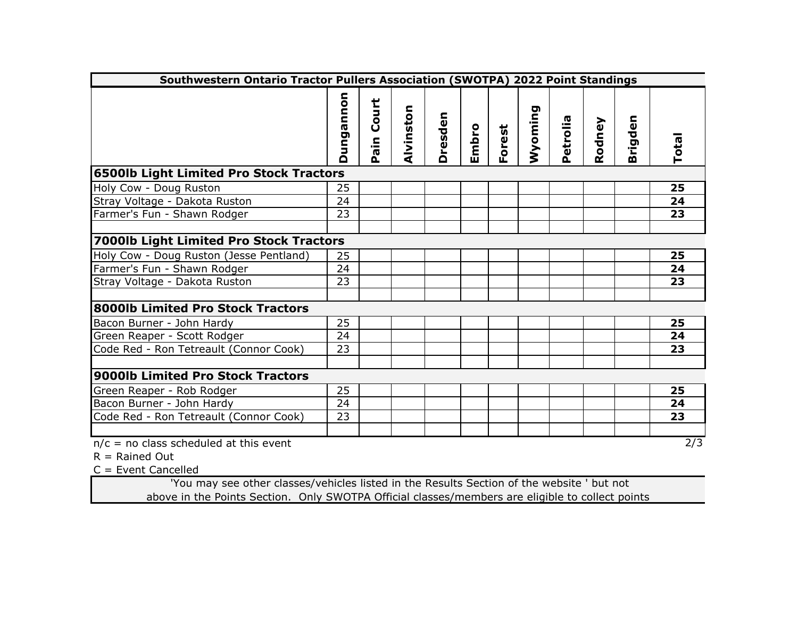| Southwestern Ontario Tractor Pullers Association (SWOTPA) 2022 Point Standings        |           |                              |           |                |       |        |         |          |        |         |              |
|---------------------------------------------------------------------------------------|-----------|------------------------------|-----------|----------------|-------|--------|---------|----------|--------|---------|--------------|
|                                                                                       | Dungannon | Court<br>ain<br>$\mathbf{a}$ | Alvinston | <b>Dresden</b> | Embro | Forest | Wyoming | Petrolia | Rodney | Brigden | Total        |
| <b>6500lb Light Limited Pro Stock Tractors</b>                                        |           |                              |           |                |       |        |         |          |        |         |              |
| Holy Cow - Doug Ruston                                                                | 25        |                              |           |                |       |        |         |          |        |         | 25           |
| Stray Voltage - Dakota Ruston                                                         | 24        |                              |           |                |       |        |         |          |        |         | 24           |
| Farmer's Fun - Shawn Rodger                                                           | 23        |                              |           |                |       |        |         |          |        |         | 23           |
|                                                                                       |           |                              |           |                |       |        |         |          |        |         |              |
| 7000lb Light Limited Pro Stock Tractors                                               |           |                              |           |                |       |        |         |          |        |         |              |
| Holy Cow - Doug Ruston (Jesse Pentland)                                               | 25        |                              |           |                |       |        |         |          |        |         | 25           |
| Farmer's Fun - Shawn Rodger                                                           | 24        |                              |           |                |       |        |         |          |        |         | 24           |
| Stray Voltage - Dakota Ruston                                                         | 23        |                              |           |                |       |        |         |          |        |         | 23           |
|                                                                                       |           |                              |           |                |       |        |         |          |        |         |              |
| 8000lb Limited Pro Stock Tractors                                                     |           |                              |           |                |       |        |         |          |        |         |              |
| Bacon Burner - John Hardy                                                             | 25        |                              |           |                |       |        |         |          |        |         | 25           |
| Green Reaper - Scott Rodger                                                           | 24        |                              |           |                |       |        |         |          |        |         | 24           |
| Code Red - Ron Tetreault (Connor Cook)                                                | 23        |                              |           |                |       |        |         |          |        |         | 23           |
|                                                                                       |           |                              |           |                |       |        |         |          |        |         |              |
| 9000lb Limited Pro Stock Tractors                                                     |           |                              |           |                |       |        |         |          |        |         |              |
| Green Reaper - Rob Rodger                                                             | 25        |                              |           |                |       |        |         |          |        |         | 25           |
| Bacon Burner - John Hardy                                                             | 24        |                              |           |                |       |        |         |          |        |         | 24           |
| Code Red - Ron Tetreault (Connor Cook)                                                | 23        |                              |           |                |       |        |         |          |        |         | 23           |
| $n/c = no$ class scheduled at this event<br>$R =$ Rained Out<br>$C =$ Eught Concelled |           |                              |           |                |       |        |         |          |        |         | $\sqrt{2/3}$ |

 $C =$  Event Cancelled

 'You may see other classes/vehicles listed in the Results Section of the website ' but not above in the Points Section. Only SWOTPA Official classes/members are eligible to collect points